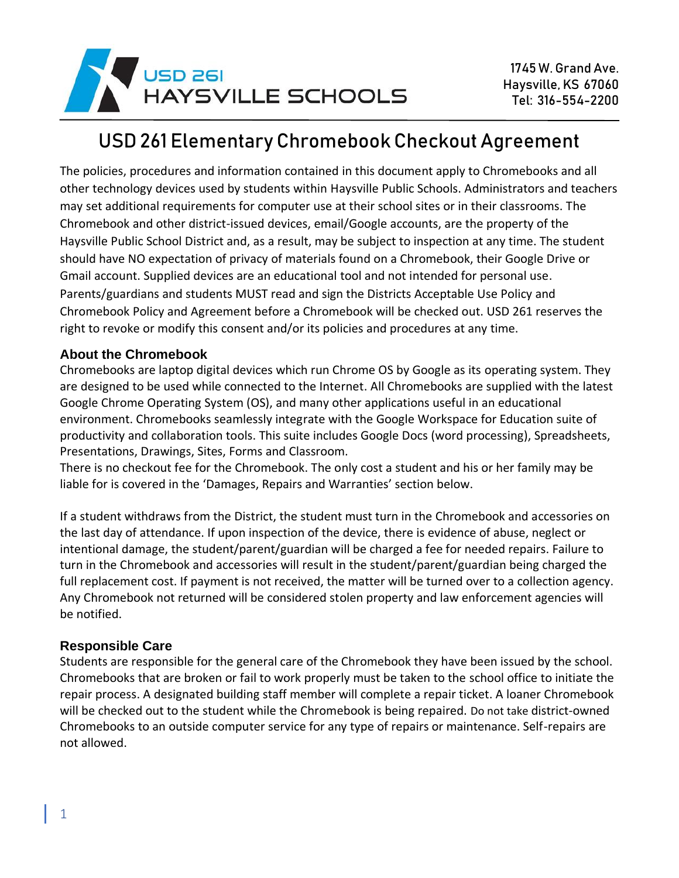

# USD 261 Elementary Chromebook Checkout Agreement

The policies, procedures and information contained in this document apply to Chromebooks and all other technology devices used by students within Haysville Public Schools. Administrators and teachers may set additional requirements for computer use at their school sites or in their classrooms. The Chromebook and other district-issued devices, email/Google accounts, are the property of the Haysville Public School District and, as a result, may be subject to inspection at any time. The student should have NO expectation of privacy of materials found on a Chromebook, their Google Drive or Gmail account. Supplied devices are an educational tool and not intended for personal use. Parents/guardians and students MUST read and sign the Districts Acceptable Use Policy and Chromebook Policy and Agreement before a Chromebook will be checked out. USD 261 reserves the right to revoke or modify this consent and/or its policies and procedures at any time.

#### **About the Chromebook**

Chromebooks are laptop digital devices which run Chrome OS by Google as its operating system. They are designed to be used while connected to the Internet. All Chromebooks are supplied with the latest Google Chrome Operating System (OS), and many other applications useful in an educational environment. Chromebooks seamlessly integrate with the Google Workspace for Education suite of productivity and collaboration tools. This suite includes Google Docs (word processing), Spreadsheets, Presentations, Drawings, Sites, Forms and Classroom.

There is no checkout fee for the Chromebook. The only cost a student and his or her family may be liable for is covered in the 'Damages, Repairs and Warranties' section below.

If a student withdraws from the District, the student must turn in the Chromebook and accessories on the last day of attendance. If upon inspection of the device, there is evidence of abuse, neglect or intentional damage, the student/parent/guardian will be charged a fee for needed repairs. Failure to turn in the Chromebook and accessories will result in the student/parent/guardian being charged the full replacement cost. If payment is not received, the matter will be turned over to a collection agency. Any Chromebook not returned will be considered stolen property and law enforcement agencies will be notified.

#### **Responsible Care**

Students are responsible for the general care of the Chromebook they have been issued by the school. Chromebooks that are broken or fail to work properly must be taken to the school office to initiate the repair process. A designated building staff member will complete a repair ticket. A loaner Chromebook will be checked out to the student while the Chromebook is being repaired. Do not take district-owned Chromebooks to an outside computer service for any type of repairs or maintenance. Self-repairs are not allowed.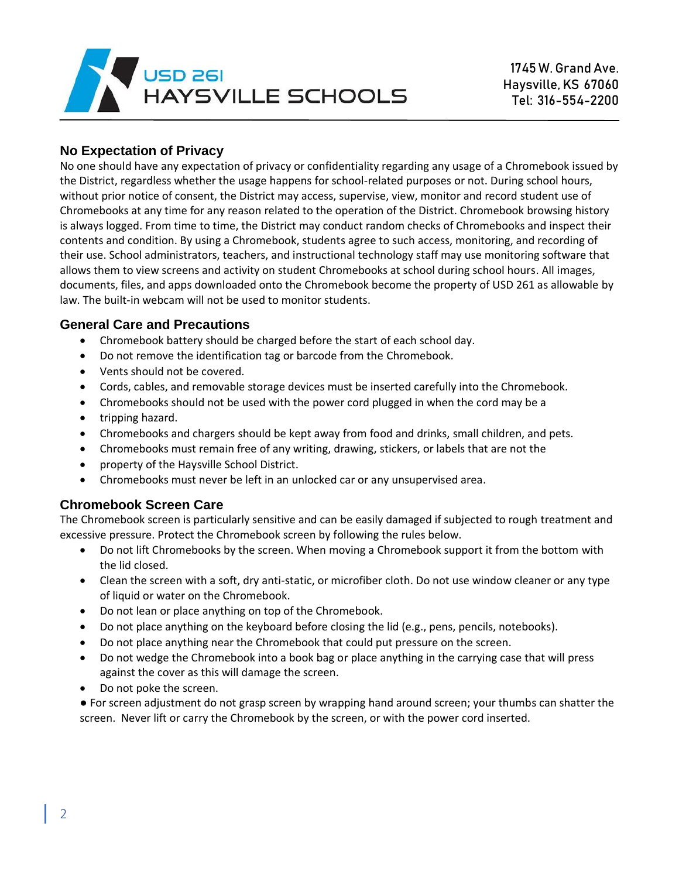

#### **No Expectation of Privacy**

No one should have any expectation of privacy or confidentiality regarding any usage of a Chromebook issued by the District, regardless whether the usage happens for school-related purposes or not. During school hours, without prior notice of consent, the District may access, supervise, view, monitor and record student use of Chromebooks at any time for any reason related to the operation of the District. Chromebook browsing history is always logged. From time to time, the District may conduct random checks of Chromebooks and inspect their contents and condition. By using a Chromebook, students agree to such access, monitoring, and recording of their use. School administrators, teachers, and instructional technology staff may use monitoring software that allows them to view screens and activity on student Chromebooks at school during school hours. All images, documents, files, and apps downloaded onto the Chromebook become the property of USD 261 as allowable by law. The built-in webcam will not be used to monitor students.

#### **General Care and Precautions**

- Chromebook battery should be charged before the start of each school day.
- Do not remove the identification tag or barcode from the Chromebook.
- Vents should not be covered.
- Cords, cables, and removable storage devices must be inserted carefully into the Chromebook.
- Chromebooks should not be used with the power cord plugged in when the cord may be a
- tripping hazard.
- Chromebooks and chargers should be kept away from food and drinks, small children, and pets.
- Chromebooks must remain free of any writing, drawing, stickers, or labels that are not the
- property of the Haysville School District.
- Chromebooks must never be left in an unlocked car or any unsupervised area.

#### **Chromebook Screen Care**

The Chromebook screen is particularly sensitive and can be easily damaged if subjected to rough treatment and excessive pressure. Protect the Chromebook screen by following the rules below.

- Do not lift Chromebooks by the screen. When moving a Chromebook support it from the bottom with the lid closed.
- Clean the screen with a soft, dry anti-static, or microfiber cloth. Do not use window cleaner or any type of liquid or water on the Chromebook.
- Do not lean or place anything on top of the Chromebook.
- Do not place anything on the keyboard before closing the lid (e.g., pens, pencils, notebooks).
- Do not place anything near the Chromebook that could put pressure on the screen.
- Do not wedge the Chromebook into a book bag or place anything in the carrying case that will press against the cover as this will damage the screen.
- Do not poke the screen.

● For screen adjustment do not grasp screen by wrapping hand around screen; your thumbs can shatter the screen. Never lift or carry the Chromebook by the screen, or with the power cord inserted.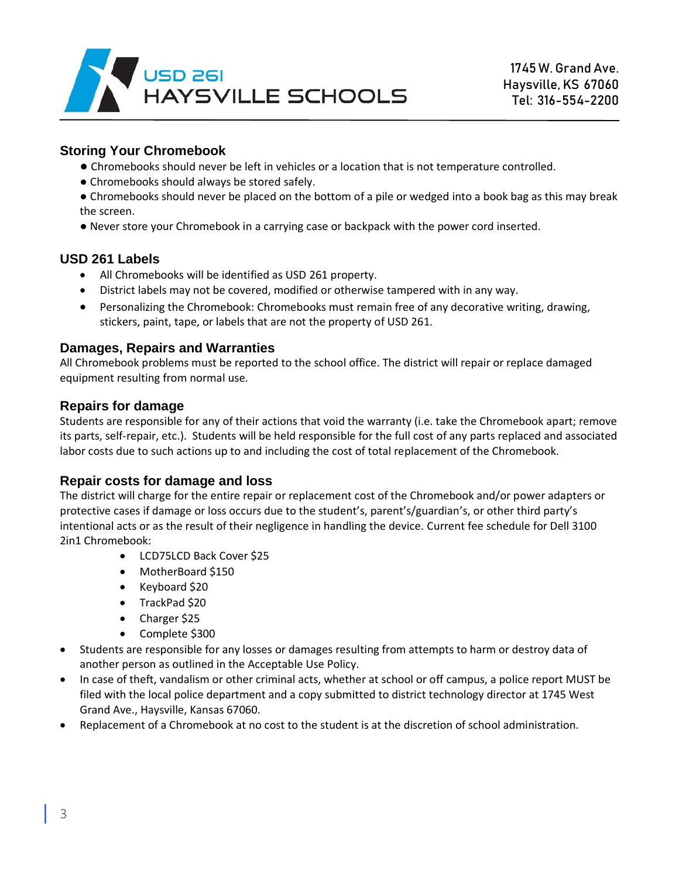

#### **Storing Your Chromebook**

- Chromebooks should never be left in vehicles or a location that is not temperature controlled.
- Chromebooks should always be stored safely.
- Chromebooks should never be placed on the bottom of a pile or wedged into a book bag as this may break the screen.
- Never store your Chromebook in a carrying case or backpack with the power cord inserted.

#### **USD 261 Labels**

- All Chromebooks will be identified as USD 261 property.
- District labels may not be covered, modified or otherwise tampered with in any way.
- Personalizing the Chromebook: Chromebooks must remain free of any decorative writing, drawing, stickers, paint, tape, or labels that are not the property of USD 261.

#### **Damages, Repairs and Warranties**

All Chromebook problems must be reported to the school office. The district will repair or replace damaged equipment resulting from normal use.

#### **Repairs for damage**

Students are responsible for any of their actions that void the warranty (i.e. take the Chromebook apart; remove its parts, self-repair, etc.). Students will be held responsible for the full cost of any parts replaced and associated labor costs due to such actions up to and including the cost of total replacement of the Chromebook.

#### **Repair costs for damage and loss**

The district will charge for the entire repair or replacement cost of the Chromebook and/or power adapters or protective cases if damage or loss occurs due to the student's, parent's/guardian's, or other third party's intentional acts or as the result of their negligence in handling the device. Current fee schedule for Dell 3100 2in1 Chromebook:

- LCD75LCD Back Cover \$25
- MotherBoard \$150
- Keyboard \$20
- TrackPad \$20
- Charger \$25
- Complete \$300
- Students are responsible for any losses or damages resulting from attempts to harm or destroy data of another person as outlined in the Acceptable Use Policy.
- In case of theft, vandalism or other criminal acts, whether at school or off campus, a police report MUST be filed with the local police department and a copy submitted to district technology director at 1745 West Grand Ave., Haysville, Kansas 67060.
- Replacement of a Chromebook at no cost to the student is at the discretion of school administration.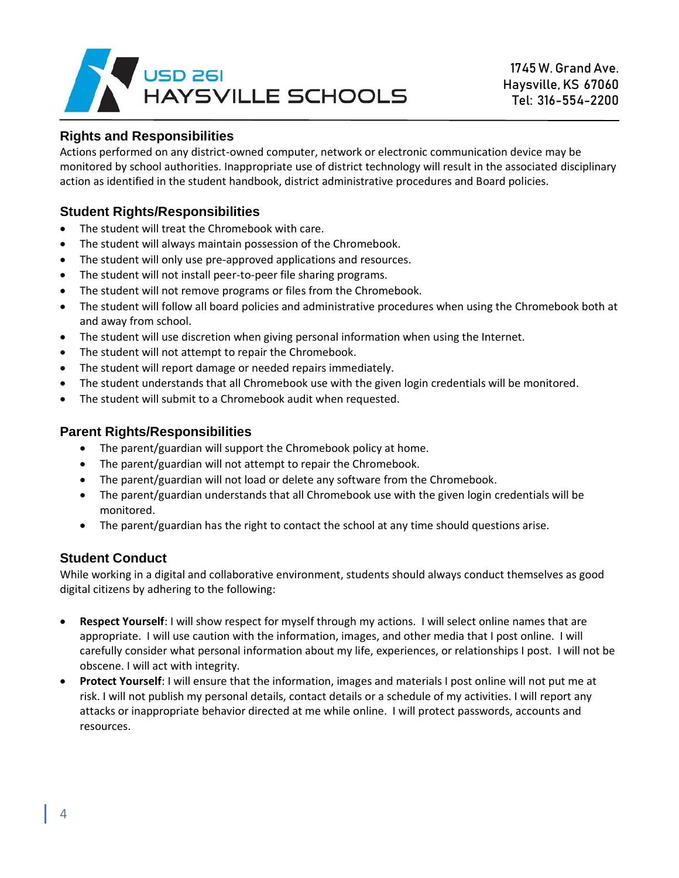

#### **Rights and Responsibilities**

Actions performed on any district-owned computer, network or electronic communication device may be monitored by school authorities. Inappropriate use of district technology will result in the associated disciplinary action as identified in the student handbook, district administrative procedures and Board policies.

#### **Student Rights/Responsibilities**

- The student will treat the Chromebook with care.
- The student will always maintain possession of the Chromebook.
- The student will only use pre-approved applications and resources.
- The student will not install peer-to-peer file sharing programs.
- The student will not remove programs or files from the Chromebook.
- The student will follow all board policies and administrative procedures when using the Chromebook both at and away from school.
- The student will use discretion when giving personal information when using the Internet.
- The student will not attempt to repair the Chromebook.
- The student will report damage or needed repairs immediately.
- The student understands that all Chromebook use with the given login credentials will be monitored.
- The student will submit to a Chromebook audit when requested.

#### **Parent Rights/Responsibilities**

- The parent/guardian will support the Chromebook policy at home.
- The parent/guardian will not attempt to repair the Chromebook.
- The parent/guardian will not load or delete any software from the Chromebook.
- The parent/guardian understands that all Chromebook use with the given login credentials will be monitored.
- The parent/guardian has the right to contact the school at any time should questions arise.

#### **Student Conduct**

While working in a digital and collaborative environment, students should always conduct themselves as good digital citizens by adhering to the following:

- **Respect Yourself**: I will show respect for myself through my actions. I will select online names that are appropriate. I will use caution with the information, images, and other media that I post online. I will carefully consider what personal information about my life, experiences, or relationships I post. I will not be obscene. I will act with integrity.
- **Protect Yourself**: I will ensure that the information, images and materials I post online will not put me at risk. I will not publish my personal details, contact details or a schedule of my activities. I will report any attacks or inappropriate behavior directed at me while online. I will protect passwords, accounts and resources.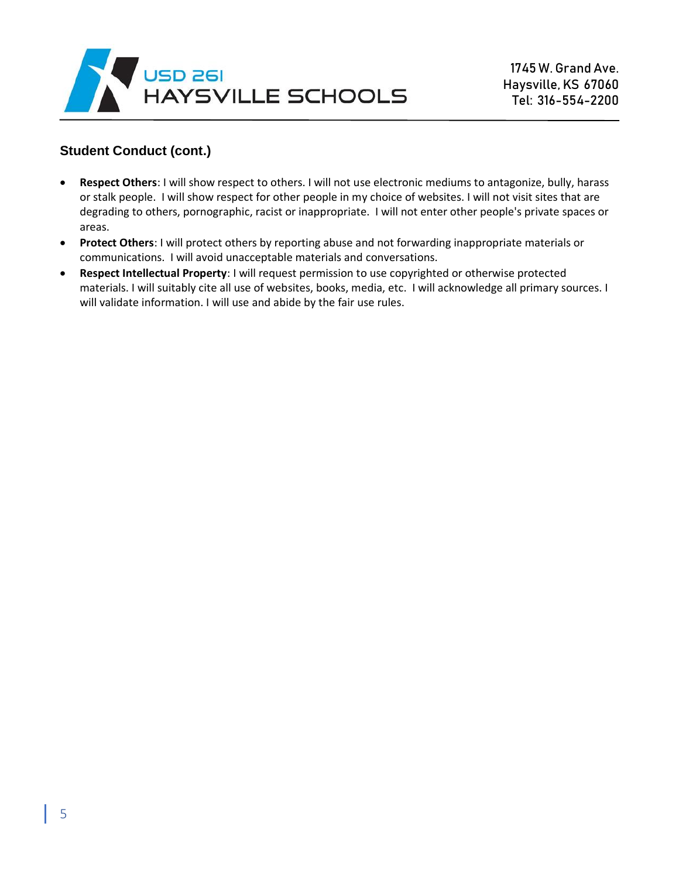

#### **Student Conduct (cont.)**

- **Respect Others**: I will show respect to others. I will not use electronic mediums to antagonize, bully, harass or stalk people. I will show respect for other people in my choice of websites. I will not visit sites that are degrading to others, pornographic, racist or inappropriate. I will not enter other people's private spaces or areas.
- **Protect Others**: I will protect others by reporting abuse and not forwarding inappropriate materials or communications. I will avoid unacceptable materials and conversations.
- **Respect Intellectual Property**: I will request permission to use copyrighted or otherwise protected materials. I will suitably cite all use of websites, books, media, etc. I will acknowledge all primary sources. I will validate information. I will use and abide by the fair use rules.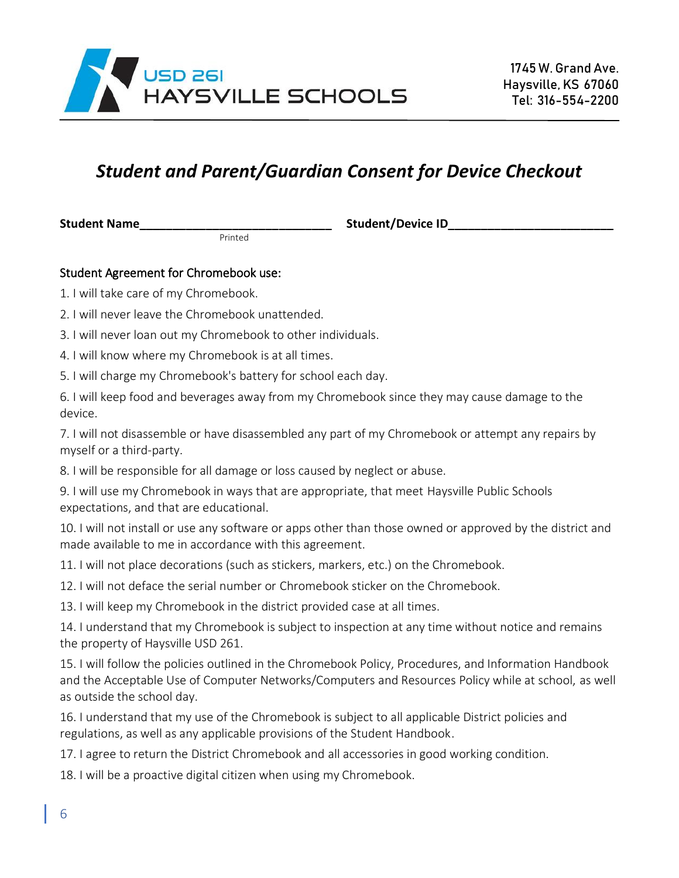

## *Student and Parent/Guardian Consent for Device Checkout*

Printed

**Student Name\_\_\_\_\_\_\_\_\_\_\_\_\_\_\_\_\_\_\_\_\_\_\_\_\_\_\_\_\_ Student/Device ID\_\_\_\_\_\_\_\_\_\_\_\_\_\_\_\_\_\_\_\_\_\_\_\_\_**

#### Student Agreement for Chromebook use:

- 1. I will take care of my Chromebook.
- 2. I will never leave the Chromebook unattended.
- 3. I will never loan out my Chromebook to other individuals.
- 4. I will know where my Chromebook is at all times.
- 5. I will charge my Chromebook's battery for school each day.

6. I will keep food and beverages away from my Chromebook since they may cause damage to the device.

7. I will not disassemble or have disassembled any part of my Chromebook or attempt any repairs by myself or a third-party.

8. I will be responsible for all damage or loss caused by neglect or abuse.

9. I will use my Chromebook in ways that are appropriate, that meet Haysville Public Schools expectations, and that are educational.

10. I will not install or use any software or apps other than those owned or approved by the district and made available to me in accordance with this agreement.

11. I will not place decorations (such as stickers, markers, etc.) on the Chromebook.

12. I will not deface the serial number or Chromebook sticker on the Chromebook.

13. I will keep my Chromebook in the district provided case at all times.

14. I understand that my Chromebook is subject to inspection at any time without notice and remains the property of Haysville USD 261.

15. I will follow the policies outlined in the Chromebook Policy, Procedures, and Information Handbook and the Acceptable Use of Computer Networks/Computers and Resources Policy while at school, as well as outside the school day.

16. I understand that my use of the Chromebook is subject to all applicable District policies and regulations, as well as any applicable provisions of the Student Handbook.

17. I agree to return the District Chromebook and all accessories in good working condition.

18. I will be a proactive digital citizen when using my Chromebook.